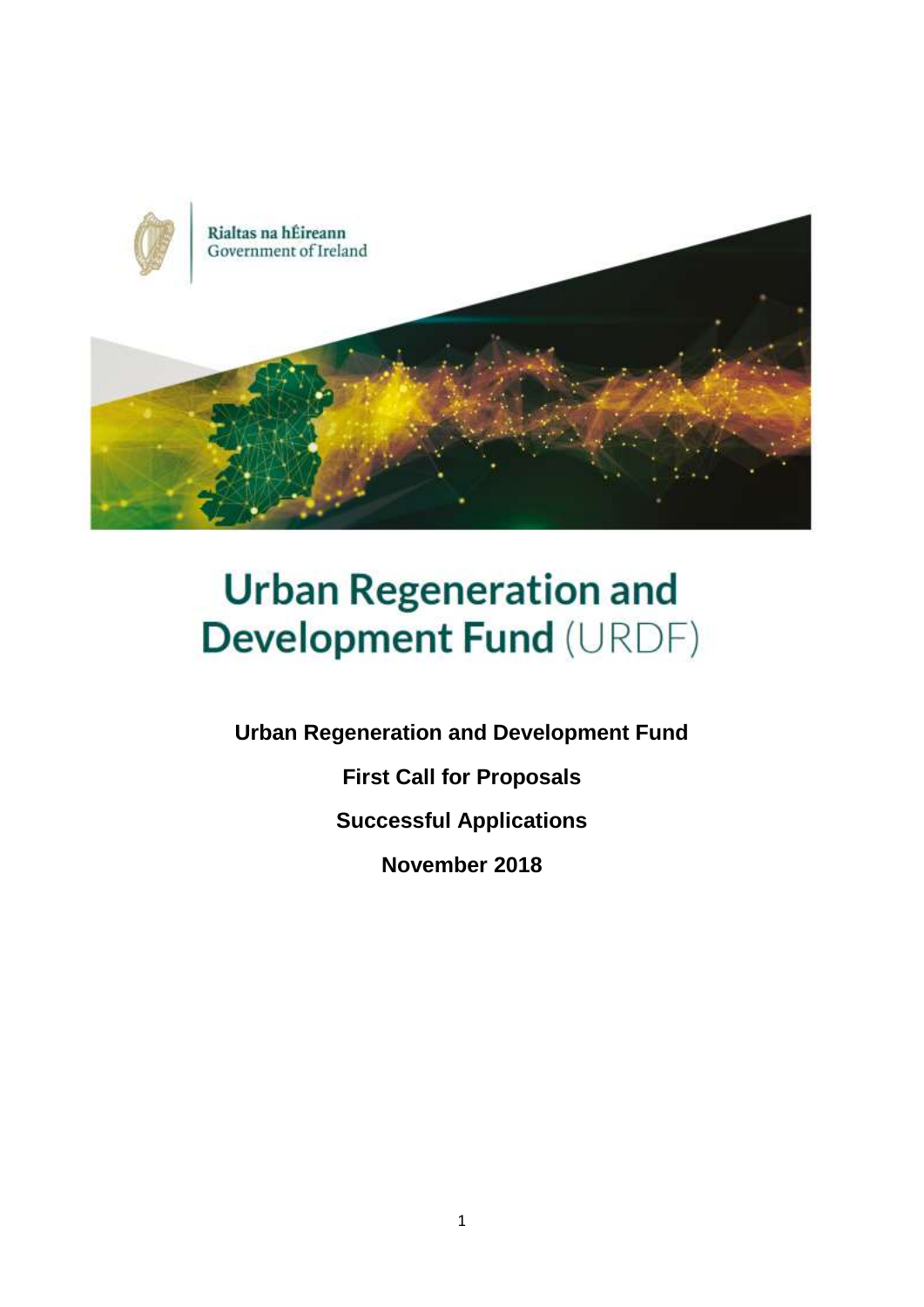

# **Urban Regeneration and Development Fund (URDF)**

**Urban Regeneration and Development Fund**

**First Call for Proposals**

**Successful Applications**

**November 2018**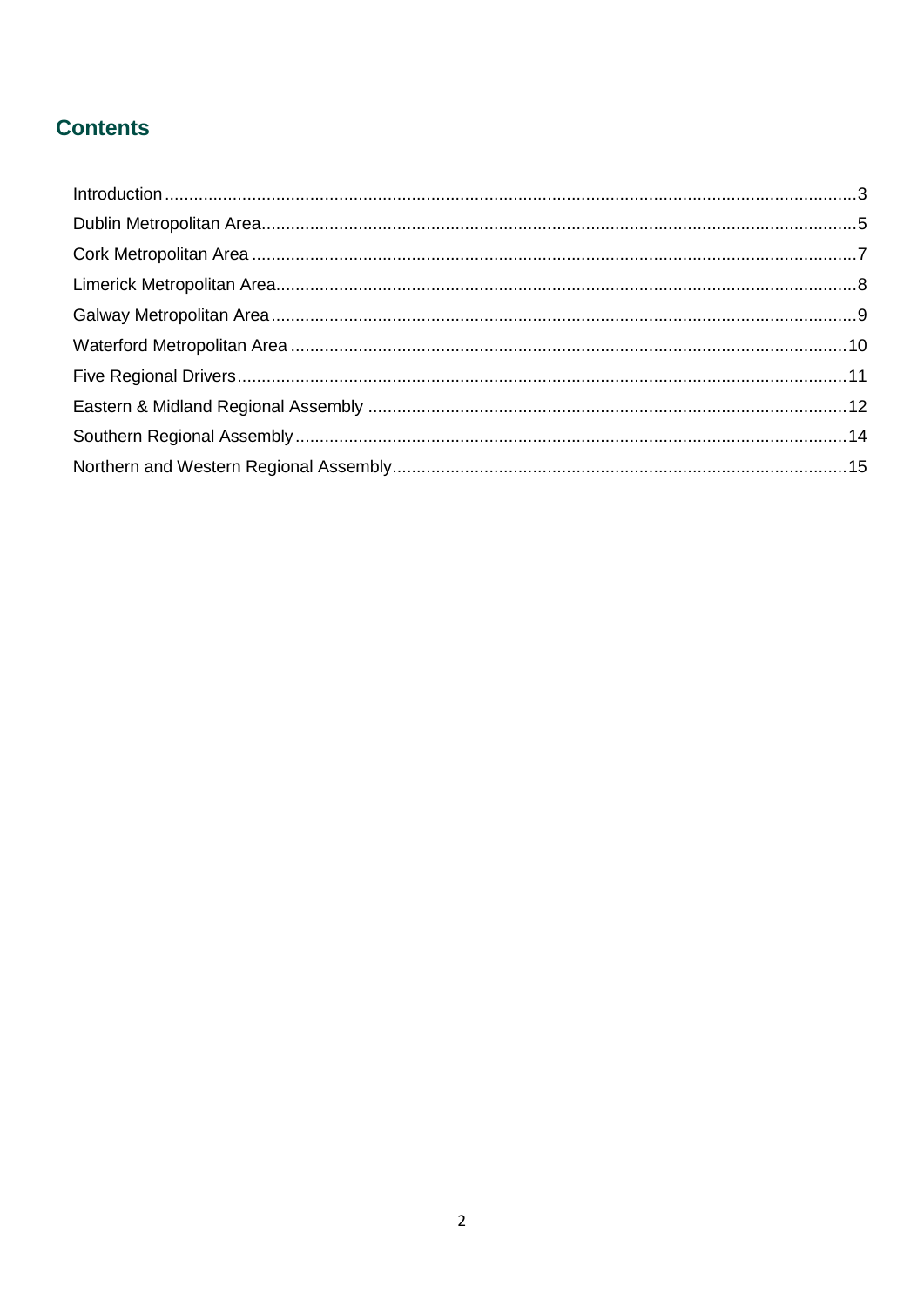#### **Contents**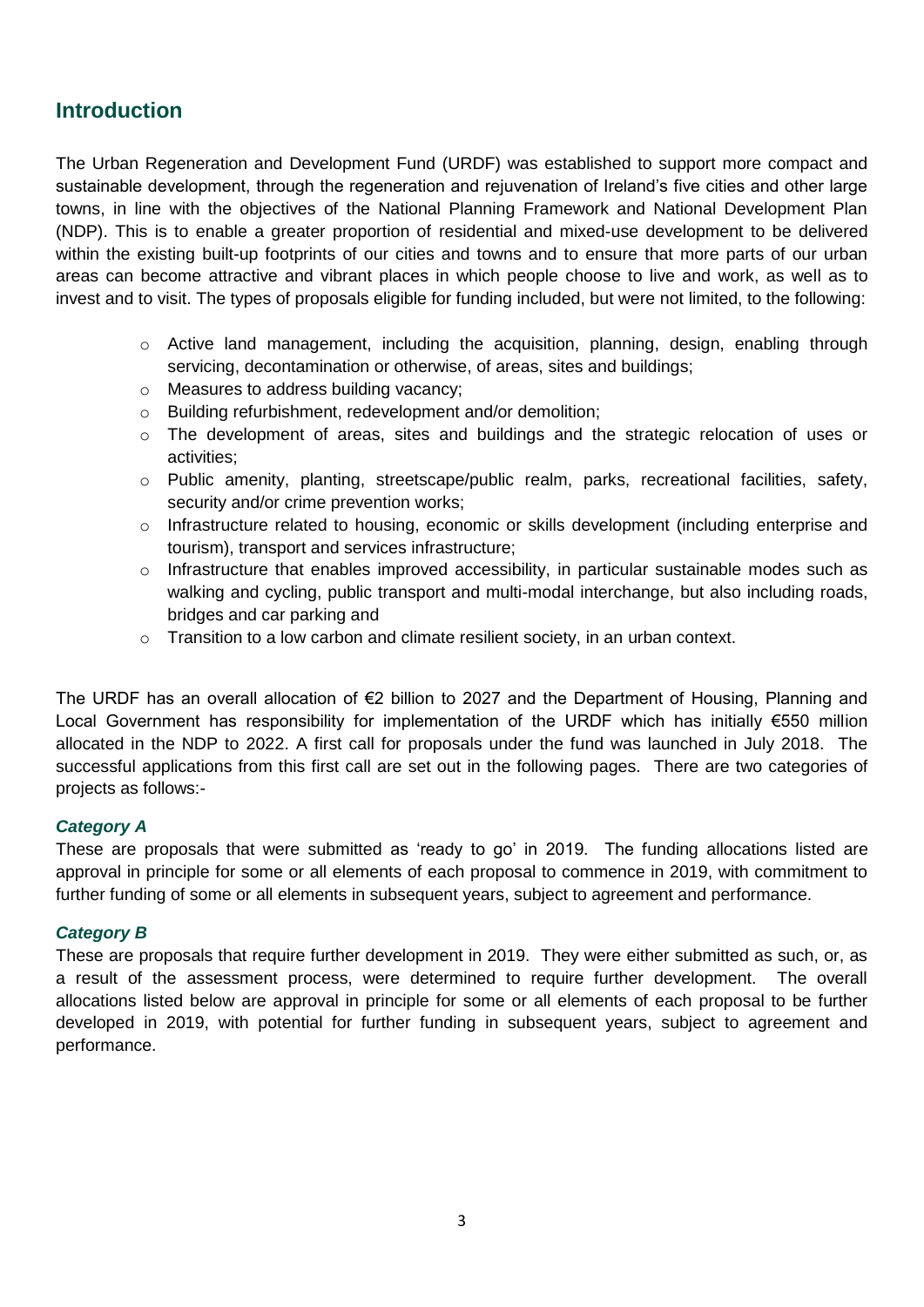#### <span id="page-2-0"></span>**Introduction**

The Urban Regeneration and Development Fund (URDF) was established to support more compact and sustainable development, through the regeneration and rejuvenation of Ireland's five cities and other large towns, in line with the objectives of the National Planning Framework and National Development Plan (NDP). This is to enable a greater proportion of residential and mixed-use development to be delivered within the existing built-up footprints of our cities and towns and to ensure that more parts of our urban areas can become attractive and vibrant places in which people choose to live and work, as well as to invest and to visit. The types of proposals eligible for funding included, but were not limited, to the following:

- $\circ$  Active land management, including the acquisition, planning, design, enabling through servicing, decontamination or otherwise, of areas, sites and buildings;
- o Measures to address building vacancy;
- o Building refurbishment, redevelopment and/or demolition;
- o The development of areas, sites and buildings and the strategic relocation of uses or activities;
- o Public amenity, planting, streetscape/public realm, parks, recreational facilities, safety, security and/or crime prevention works;
- $\circ$  Infrastructure related to housing, economic or skills development (including enterprise and tourism), transport and services infrastructure;
- $\circ$  Infrastructure that enables improved accessibility, in particular sustainable modes such as walking and cycling, public transport and multi-modal interchange, but also including roads, bridges and car parking and
- $\circ$  Transition to a low carbon and climate resilient society, in an urban context.

The URDF has an overall allocation of €2 billion to 2027 and the Department of Housing, Planning and Local Government has responsibility for implementation of the URDF which has initially €550 million allocated in the NDP to 2022. A first call for proposals under the fund was launched in July 2018. The successful applications from this first call are set out in the following pages. There are two categories of projects as follows:-

#### *Category A*

These are proposals that were submitted as 'ready to go' in 2019. The funding allocations listed are approval in principle for some or all elements of each proposal to commence in 2019, with commitment to further funding of some or all elements in subsequent years, subject to agreement and performance.

#### *Category B*

These are proposals that require further development in 2019. They were either submitted as such, or, as a result of the assessment process, were determined to require further development. The overall allocations listed below are approval in principle for some or all elements of each proposal to be further developed in 2019, with potential for further funding in subsequent years, subject to agreement and performance.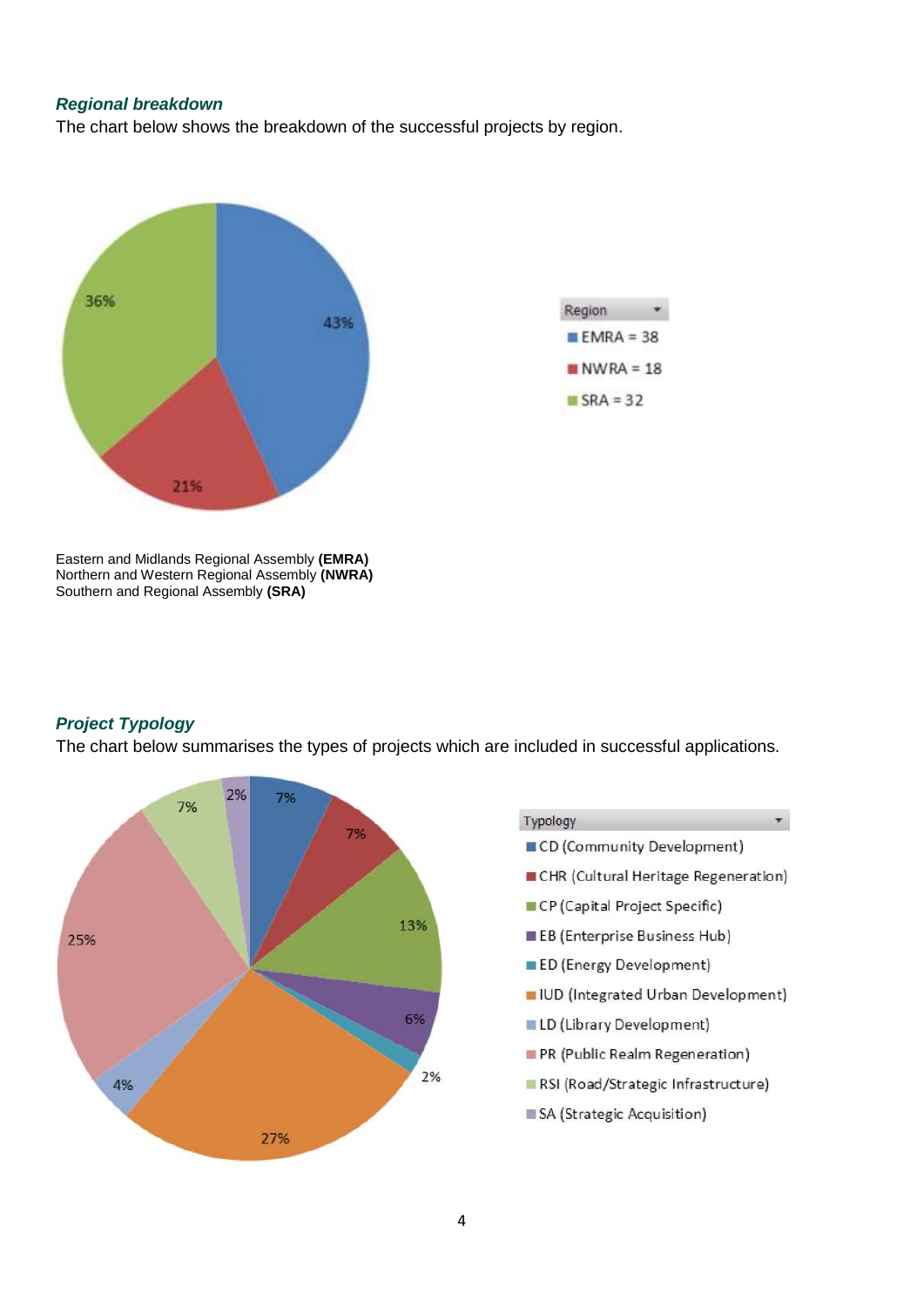#### *Regional breakdown*

The chart below shows the breakdown of the successful projects by region.



Eastern and Midlands Regional Assembly **(EMRA)** Northern and Western Regional Assembly **(NWRA)** Southern and Regional Assembly **(SRA)**

#### *Project Typology*

The chart below summarises the types of projects which are included in successful applications.

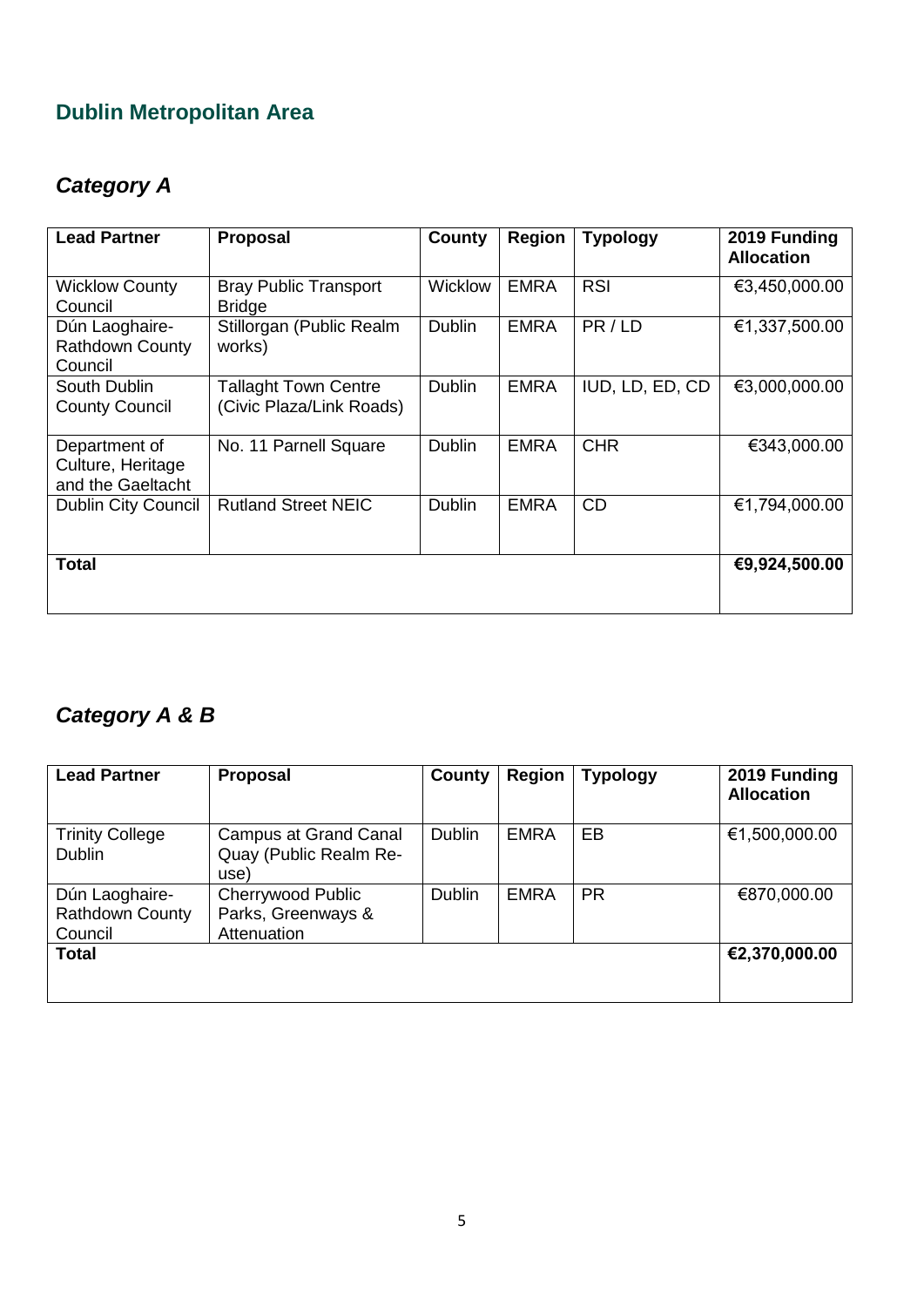### <span id="page-4-0"></span>**Dublin Metropolitan Area**

# *Category A*

| <b>Lead Partner</b>                                     | <b>Proposal</b>                                         | County         | <b>Region</b> | <b>Typology</b> | 2019 Funding<br><b>Allocation</b> |
|---------------------------------------------------------|---------------------------------------------------------|----------------|---------------|-----------------|-----------------------------------|
| <b>Wicklow County</b><br>Council                        | <b>Bray Public Transport</b><br><b>Bridge</b>           | <b>Wicklow</b> | <b>EMRA</b>   | <b>RSI</b>      | €3,450,000.00                     |
| Dún Laoghaire-<br><b>Rathdown County</b><br>Council     | Stillorgan (Public Realm<br>works)                      | <b>Dublin</b>  | <b>EMRA</b>   | PR/LD           | €1,337,500.00                     |
| South Dublin<br><b>County Council</b>                   | <b>Tallaght Town Centre</b><br>(Civic Plaza/Link Roads) | <b>Dublin</b>  | <b>EMRA</b>   | IUD, LD, ED, CD | €3,000,000.00                     |
| Department of<br>Culture, Heritage<br>and the Gaeltacht | No. 11 Parnell Square                                   | <b>Dublin</b>  | <b>EMRA</b>   | <b>CHR</b>      | €343,000.00                       |
| <b>Dublin City Council</b>                              | <b>Rutland Street NEIC</b>                              | <b>Dublin</b>  | <b>EMRA</b>   | <b>CD</b>       | €1,794,000.00                     |
| <b>Total</b>                                            | €9,924,500.00                                           |                |               |                 |                                   |

# *Category A & B*

| <b>Lead Partner</b>                                 | <b>Proposal</b>                                                | County        | <b>Region</b> | <b>Typology</b> | 2019 Funding<br><b>Allocation</b> |
|-----------------------------------------------------|----------------------------------------------------------------|---------------|---------------|-----------------|-----------------------------------|
| <b>Trinity College</b><br><b>Dublin</b>             | <b>Campus at Grand Canal</b><br>Quay (Public Realm Re-<br>use) | <b>Dublin</b> | <b>EMRA</b>   | EB              | €1,500,000.00                     |
| Dún Laoghaire-<br><b>Rathdown County</b><br>Council | Cherrywood Public<br>Parks, Greenways &<br>Attenuation         | <b>Dublin</b> | <b>EMRA</b>   | <b>PR</b>       | €870,000.00                       |
| <b>Total</b>                                        |                                                                |               |               |                 | €2,370,000.00                     |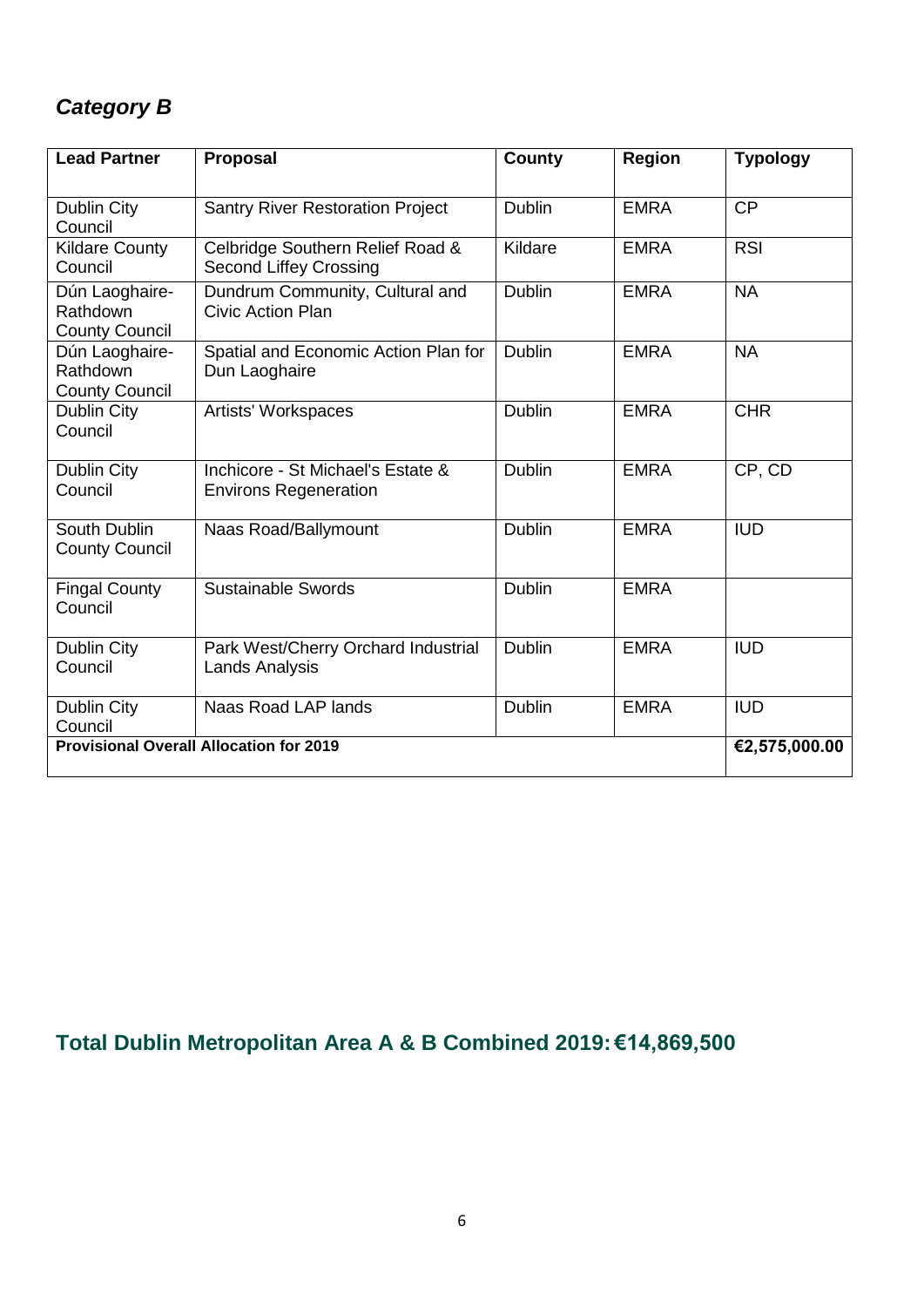### *Category B*

| <b>Lead Partner</b>                                 | <b>Proposal</b>                                                   | <b>County</b> | <b>Region</b> | <b>Typology</b> |
|-----------------------------------------------------|-------------------------------------------------------------------|---------------|---------------|-----------------|
| Dublin City<br>Council                              | <b>Santry River Restoration Project</b>                           | <b>Dublin</b> | <b>EMRA</b>   | <b>CP</b>       |
| <b>Kildare County</b><br>Council                    | Celbridge Southern Relief Road &<br><b>Second Liffey Crossing</b> | Kildare       | <b>EMRA</b>   | <b>RSI</b>      |
| Dún Laoghaire-<br>Rathdown<br><b>County Council</b> | Dundrum Community, Cultural and<br><b>Civic Action Plan</b>       | <b>Dublin</b> | <b>EMRA</b>   | <b>NA</b>       |
| Dún Laoghaire-<br>Rathdown<br><b>County Council</b> | Spatial and Economic Action Plan for<br>Dun Laoghaire             | <b>Dublin</b> | <b>EMRA</b>   | <b>NA</b>       |
| Dublin City<br>Council                              | Artists' Workspaces                                               | <b>Dublin</b> | <b>EMRA</b>   | <b>CHR</b>      |
| Dublin City<br>Council                              | Inchicore - St Michael's Estate &<br><b>Environs Regeneration</b> | <b>Dublin</b> | <b>EMRA</b>   | CP, CD          |
| South Dublin<br><b>County Council</b>               | Naas Road/Ballymount                                              | <b>Dublin</b> | <b>EMRA</b>   | <b>IUD</b>      |
| <b>Fingal County</b><br>Council                     | <b>Sustainable Swords</b>                                         | <b>Dublin</b> | <b>EMRA</b>   |                 |
| <b>Dublin City</b><br>Council                       | Park West/Cherry Orchard Industrial<br><b>Lands Analysis</b>      | <b>Dublin</b> | <b>EMRA</b>   | <b>IUD</b>      |
| Dublin City<br>Council                              | Naas Road LAP lands                                               | <b>Dublin</b> | <b>EMRA</b>   | <b>IUD</b>      |
| <b>Provisional Overall Allocation for 2019</b>      | €2,575,000.00                                                     |               |               |                 |

### **Total Dublin Metropolitan Area A & B Combined 2019: €14,869,500**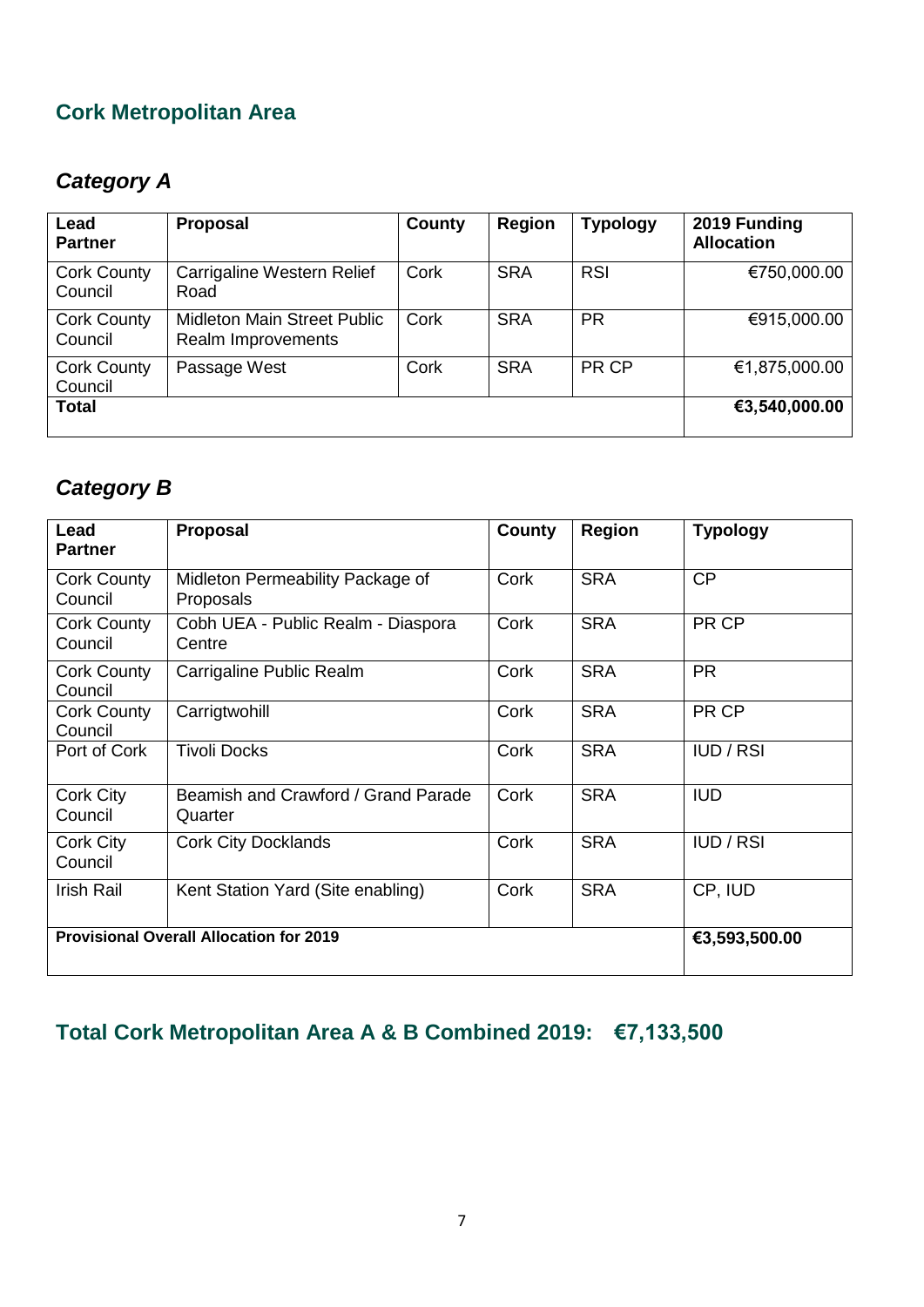#### <span id="page-6-0"></span>**Cork Metropolitan Area**

#### *Category A*

| Lead<br><b>Partner</b>        | <b>Proposal</b>                                          | County | <b>Region</b> | <b>Typology</b> | 2019 Funding<br><b>Allocation</b> |
|-------------------------------|----------------------------------------------------------|--------|---------------|-----------------|-----------------------------------|
| <b>Cork County</b><br>Council | <b>Carrigaline Western Relief</b><br>Road                | Cork   | <b>SRA</b>    | <b>RSI</b>      | €750,000.00                       |
| <b>Cork County</b><br>Council | <b>Midleton Main Street Public</b><br>Realm Improvements | Cork   | <b>SRA</b>    | <b>PR</b>       | €915,000.00                       |
| <b>Cork County</b><br>Council | Passage West                                             | Cork   | <b>SRA</b>    | PR CP           | €1,875,000.00                     |
| <b>Total</b>                  |                                                          |        |               |                 | €3,540,000.00                     |

#### *Category B*

| Lead<br><b>Partner</b>                         | <b>Proposal</b>                                | <b>County</b> | <b>Region</b> | <b>Typology</b>  |
|------------------------------------------------|------------------------------------------------|---------------|---------------|------------------|
| <b>Cork County</b><br>Council                  | Midleton Permeability Package of<br>Proposals  | Cork          | <b>SRA</b>    | <b>CP</b>        |
| <b>Cork County</b><br>Council                  | Cobh UEA - Public Realm - Diaspora<br>Centre   | Cork          | <b>SRA</b>    | PR CP            |
| <b>Cork County</b><br>Council                  | Carrigaline Public Realm                       | Cork          | <b>SRA</b>    | <b>PR</b>        |
| <b>Cork County</b><br>Council                  | Carrigtwohill                                  | Cork          | <b>SRA</b>    | PR CP            |
| Port of Cork                                   | <b>Tivoli Docks</b>                            | Cork          | <b>SRA</b>    | <b>IUD</b> / RSI |
| Cork City<br>Council                           | Beamish and Crawford / Grand Parade<br>Quarter | Cork          | <b>SRA</b>    | <b>IUD</b>       |
| Cork City<br>Council                           | <b>Cork City Docklands</b>                     | Cork          | <b>SRA</b>    | IUD/RSI          |
| <b>Irish Rail</b>                              | Kent Station Yard (Site enabling)              | Cork          | <b>SRA</b>    | CP, IUD          |
| <b>Provisional Overall Allocation for 2019</b> | €3,593,500.00                                  |               |               |                  |

# **Total Cork Metropolitan Area A & B Combined 2019: €7,133,500**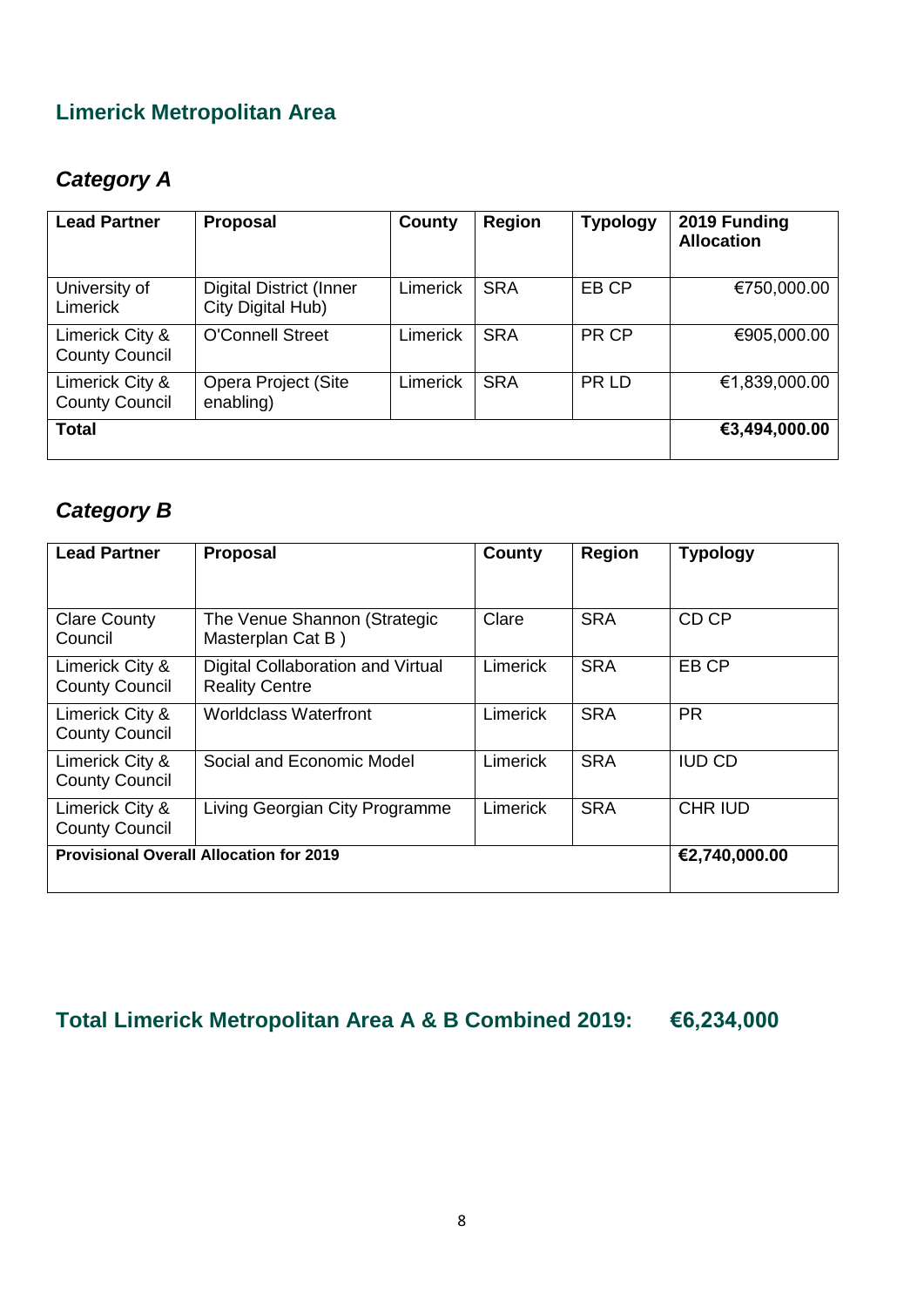#### <span id="page-7-0"></span>**Limerick Metropolitan Area**

#### *Category A*

| <b>Lead Partner</b>                      | <b>Proposal</b>                                     | County          | Region     | <b>Typology</b> | 2019 Funding<br><b>Allocation</b> |
|------------------------------------------|-----------------------------------------------------|-----------------|------------|-----------------|-----------------------------------|
| University of<br><b>Limerick</b>         | <b>Digital District (Inner</b><br>City Digital Hub) | <b>Limerick</b> | <b>SRA</b> | EB CP           | €750,000.00                       |
| Limerick City &<br><b>County Council</b> | <b>O'Connell Street</b>                             | Limerick        | <b>SRA</b> | PR CP           | €905,000.00                       |
| Limerick City &<br><b>County Council</b> | Opera Project (Site<br>enabling)                    | Limerick        | <b>SRA</b> | PR LD           | €1,839,000.00                     |
| <b>Total</b>                             |                                                     |                 |            |                 | €3,494,000.00                     |

### *Category B*

| <b>Lead Partner</b>                            | <b>Proposal</b>                                            | County   | <b>Region</b> | <b>Typology</b> |
|------------------------------------------------|------------------------------------------------------------|----------|---------------|-----------------|
| <b>Clare County</b><br>Council                 | The Venue Shannon (Strategic<br>Masterplan Cat B)          | Clare    | <b>SRA</b>    | CD CP           |
| Limerick City &<br><b>County Council</b>       | Digital Collaboration and Virtual<br><b>Reality Centre</b> | Limerick | <b>SRA</b>    | EB CP           |
| Limerick City &<br><b>County Council</b>       | <b>Worldclass Waterfront</b>                               | Limerick | <b>SRA</b>    | <b>PR</b>       |
| Limerick City &<br><b>County Council</b>       | Social and Economic Model                                  | Limerick | <b>SRA</b>    | IUD CD          |
| Limerick City &<br><b>County Council</b>       | Living Georgian City Programme                             | Limerick | <b>SRA</b>    | <b>CHR IUD</b>  |
| <b>Provisional Overall Allocation for 2019</b> | €2,740,000.00                                              |          |               |                 |

# **Total Limerick Metropolitan Area A & B Combined 2019: €6,234,000**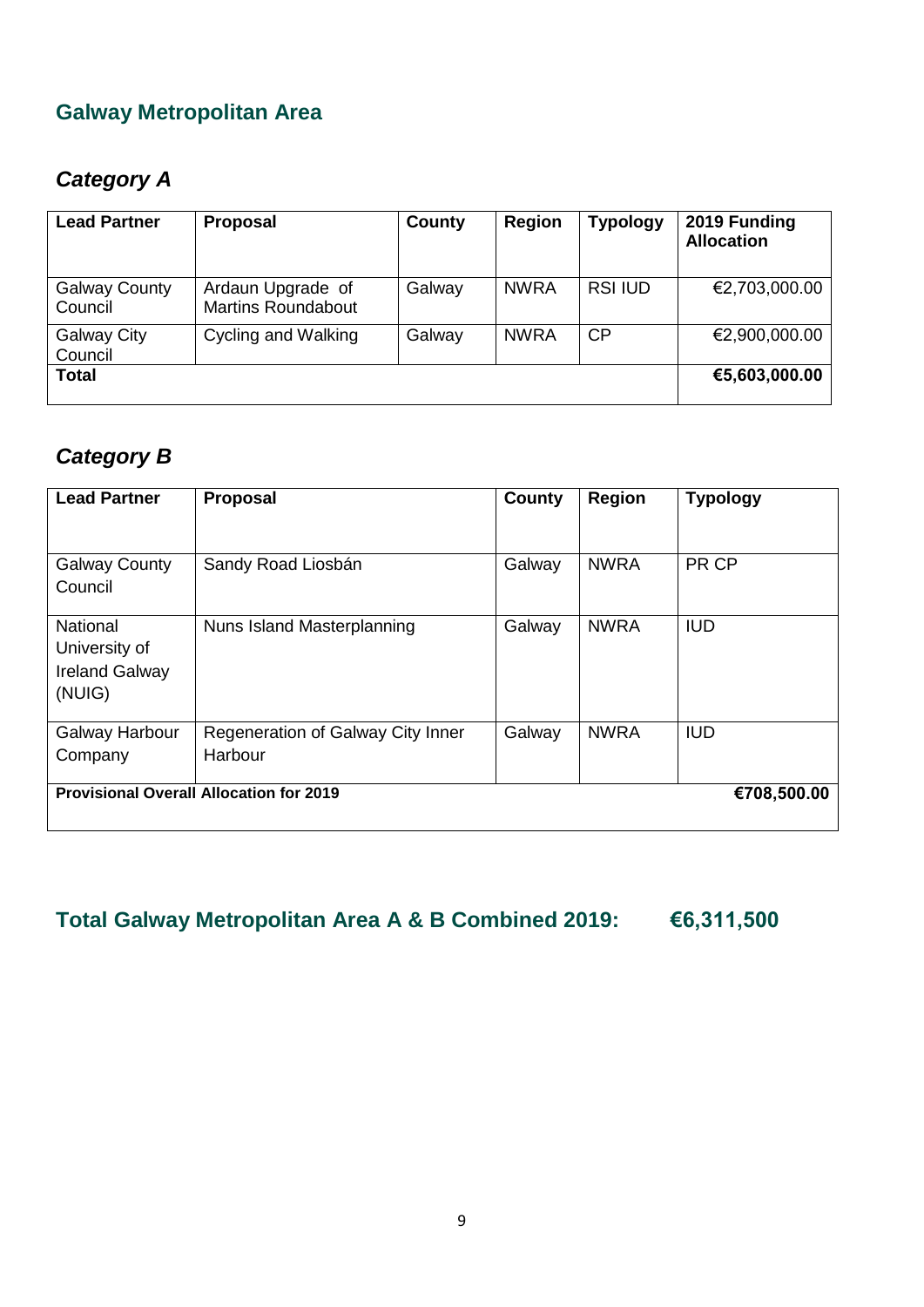#### <span id="page-8-0"></span>**Galway Metropolitan Area**

#### *Category A*

| <b>Lead Partner</b>             | <b>Proposal</b>                                | County | <b>Region</b> | <b>Typology</b> | 2019 Funding<br><b>Allocation</b> |
|---------------------------------|------------------------------------------------|--------|---------------|-----------------|-----------------------------------|
| <b>Galway County</b><br>Council | Ardaun Upgrade of<br><b>Martins Roundabout</b> | Galway | <b>NWRA</b>   | <b>RSI IUD</b>  | €2,703,000.00                     |
| <b>Galway City</b><br>Council   | Cycling and Walking                            | Galway | <b>NWRA</b>   | <b>CP</b>       | €2,900,000.00                     |
| <b>Total</b>                    |                                                |        |               |                 | €5,603,000.00                     |

#### *Category B*

| <b>Lead Partner</b>                                           | <b>Proposal</b>                              | County | <b>Region</b> | <b>Typology</b> |  |
|---------------------------------------------------------------|----------------------------------------------|--------|---------------|-----------------|--|
| <b>Galway County</b><br>Council                               | Sandy Road Liosbán                           | Galway | <b>NWRA</b>   | PR CP           |  |
| National<br>University of<br><b>Ireland Galway</b><br>(NUIG)  | Nuns Island Masterplanning                   | Galway | <b>NWRA</b>   | <b>IUD</b>      |  |
| <b>Galway Harbour</b><br>Company                              | Regeneration of Galway City Inner<br>Harbour | Galway | <b>NWRA</b>   | <b>IUD</b>      |  |
| <b>Provisional Overall Allocation for 2019</b><br>€708,500.00 |                                              |        |               |                 |  |

**Total Galway Metropolitan Area A & B Combined 2019: €6,311,500**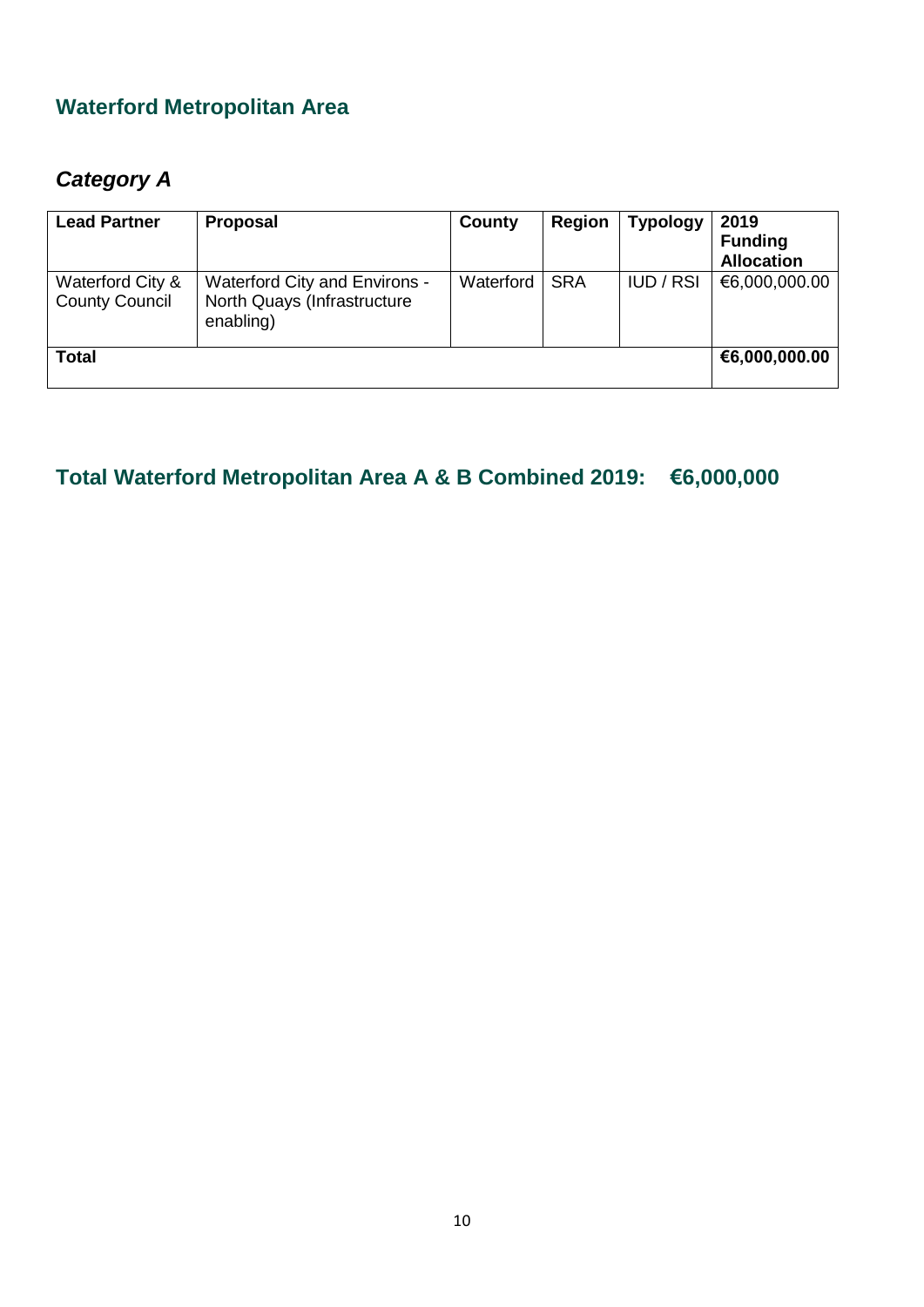#### <span id="page-9-0"></span>**Waterford Metropolitan Area**

#### *Category A*

| <b>Lead Partner</b>                       | <b>Proposal</b>                                                                  | County    | Region     | <b>Typology</b>  | 2019<br><b>Funding</b><br><b>Allocation</b> |
|-------------------------------------------|----------------------------------------------------------------------------------|-----------|------------|------------------|---------------------------------------------|
| Waterford City &<br><b>County Council</b> | <b>Waterford City and Environs -</b><br>North Quays (Infrastructure<br>enabling) | Waterford | <b>SRA</b> | <b>IUD</b> / RSI | €6,000,000.00                               |
| <b>Total</b>                              | €6,000,000.00                                                                    |           |            |                  |                                             |

### **Total Waterford Metropolitan Area A & B Combined 2019: €6,000,000**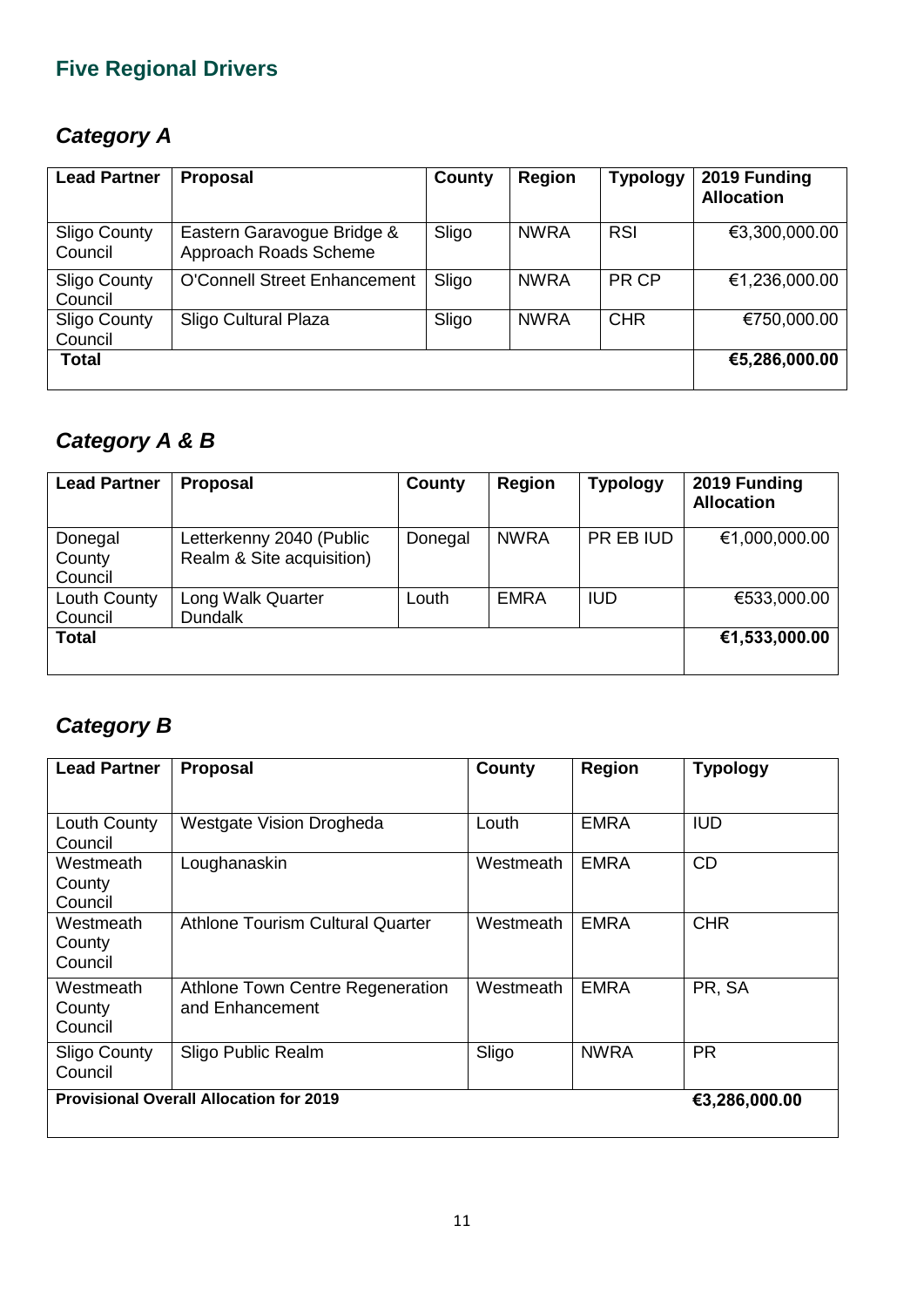# <span id="page-10-0"></span>**Five Regional Drivers**

# *Category A*

| <b>Lead Partner</b>            | Proposal                                            | County | <b>Region</b> | <b>Typology</b> | 2019 Funding<br><b>Allocation</b> |
|--------------------------------|-----------------------------------------------------|--------|---------------|-----------------|-----------------------------------|
| <b>Sligo County</b><br>Council | Eastern Garavogue Bridge &<br>Approach Roads Scheme | Sligo  | <b>NWRA</b>   | <b>RSI</b>      | €3,300,000.00                     |
| <b>Sligo County</b><br>Council | <b>O'Connell Street Enhancement</b>                 | Sligo  | <b>NWRA</b>   | PR CP           | €1,236,000.00                     |
| <b>Sligo County</b><br>Council | Sligo Cultural Plaza                                | Sligo  | <b>NWRA</b>   | <b>CHR</b>      | €750,000.00                       |
| <b>Total</b>                   |                                                     |        |               |                 | €5,286,000.00                     |

# *Category A & B*

| <b>Lead Partner</b> | <b>Proposal</b>           | County  | Region      | <b>Typology</b> | 2019 Funding<br><b>Allocation</b> |
|---------------------|---------------------------|---------|-------------|-----------------|-----------------------------------|
| Donegal             | Letterkenny 2040 (Public  | Donegal | <b>NWRA</b> | PR EB IUD       | €1,000,000.00                     |
| County              | Realm & Site acquisition) |         |             |                 |                                   |
| Council             |                           |         |             |                 |                                   |
| Louth County        | Long Walk Quarter         | Louth   | <b>EMRA</b> | <b>IUD</b>      | €533,000.00                       |
| Council             | <b>Dundalk</b>            |         |             |                 |                                   |
| <b>Total</b>        |                           |         |             |                 | €1,533,000.00                     |
|                     |                           |         |             |                 |                                   |

| <b>Lead Partner</b>                                             | <b>Proposal</b>                                     | County    | <b>Region</b> | <b>Typology</b> |  |  |
|-----------------------------------------------------------------|-----------------------------------------------------|-----------|---------------|-----------------|--|--|
| Louth County<br>Council                                         | Westgate Vision Drogheda                            | Louth     | <b>EMRA</b>   | <b>IUD</b>      |  |  |
| Westmeath<br>County<br>Council                                  | Loughanaskin                                        | Westmeath | <b>EMRA</b>   | <b>CD</b>       |  |  |
| Westmeath<br>County<br>Council                                  | <b>Athlone Tourism Cultural Quarter</b>             | Westmeath | <b>EMRA</b>   | <b>CHR</b>      |  |  |
| Westmeath<br>County<br>Council                                  | Athlone Town Centre Regeneration<br>and Enhancement | Westmeath | <b>EMRA</b>   | PR, SA          |  |  |
| <b>Sligo County</b><br>Council                                  | Sligo Public Realm                                  | Sligo     | <b>NWRA</b>   | <b>PR</b>       |  |  |
| <b>Provisional Overall Allocation for 2019</b><br>€3,286,000.00 |                                                     |           |               |                 |  |  |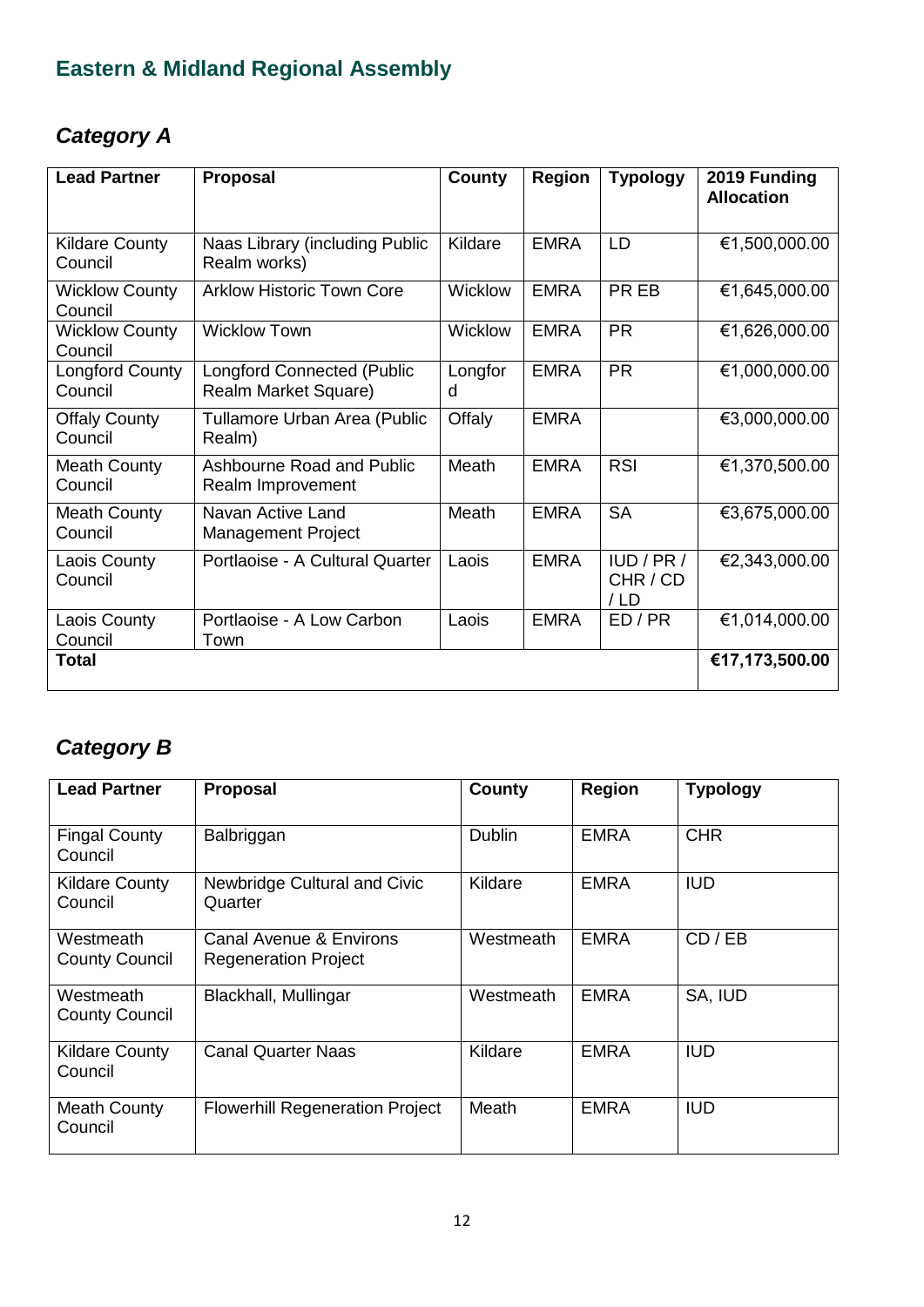# <span id="page-11-0"></span>**Eastern & Midland Regional Assembly**

# *Category A*

| <b>Lead Partner</b>               | <b>Proposal</b>                                           | <b>County</b>  | <b>Region</b> | <b>Typology</b>            | 2019 Funding<br><b>Allocation</b> |
|-----------------------------------|-----------------------------------------------------------|----------------|---------------|----------------------------|-----------------------------------|
| <b>Kildare County</b><br>Council  | Naas Library (including Public<br>Realm works)            | Kildare        | <b>EMRA</b>   | LD                         | €1,500,000.00                     |
| <b>Wicklow County</b><br>Council  | <b>Arklow Historic Town Core</b>                          | Wicklow        | <b>EMRA</b>   | PR EB                      | €1,645,000.00                     |
| <b>Wicklow County</b><br>Council  | <b>Wicklow Town</b>                                       | <b>Wicklow</b> | <b>EMRA</b>   | <b>PR</b>                  | €1,626,000.00                     |
| <b>Longford County</b><br>Council | <b>Longford Connected (Public</b><br>Realm Market Square) | Longfor<br>d   | <b>EMRA</b>   | <b>PR</b>                  | €1,000,000.00                     |
| <b>Offaly County</b><br>Council   | <b>Tullamore Urban Area (Public</b><br>Realm)             | Offaly         | <b>EMRA</b>   |                            | €3,000,000.00                     |
| <b>Meath County</b><br>Council    | Ashbourne Road and Public<br>Realm Improvement            | Meath          | <b>EMRA</b>   | <b>RSI</b>                 | €1,370,500.00                     |
| <b>Meath County</b><br>Council    | Navan Active Land<br><b>Management Project</b>            | Meath          | <b>EMRA</b>   | <b>SA</b>                  | €3,675,000.00                     |
| Laois County<br>Council           | Portlaoise - A Cultural Quarter                           | Laois          | <b>EMRA</b>   | IUD/PR/<br>CHR / CD<br>/LD | €2,343,000.00                     |
| <b>Laois County</b><br>Council    | Portlaoise - A Low Carbon<br>Town                         | Laois          | <b>EMRA</b>   | ED/PR                      | €1,014,000.00                     |
| Total                             | €17,173,500.00                                            |                |               |                            |                                   |

| <b>Lead Partner</b>                | <b>Proposal</b>                                        | County        | <b>Region</b> | <b>Typology</b> |
|------------------------------------|--------------------------------------------------------|---------------|---------------|-----------------|
| <b>Fingal County</b><br>Council    | Balbriggan                                             | <b>Dublin</b> | <b>EMRA</b>   | <b>CHR</b>      |
| <b>Kildare County</b><br>Council   | Newbridge Cultural and Civic<br>Quarter                | Kildare       | <b>EMRA</b>   | <b>IUD</b>      |
| Westmeath<br><b>County Council</b> | Canal Avenue & Environs<br><b>Regeneration Project</b> | Westmeath     | <b>EMRA</b>   | CD / EB         |
| Westmeath<br><b>County Council</b> | Blackhall, Mullingar                                   | Westmeath     | <b>EMRA</b>   | SA, IUD         |
| <b>Kildare County</b><br>Council   | <b>Canal Quarter Naas</b>                              | Kildare       | <b>EMRA</b>   | <b>IUD</b>      |
| <b>Meath County</b><br>Council     | <b>Flowerhill Regeneration Project</b>                 | Meath         | <b>EMRA</b>   | <b>IUD</b>      |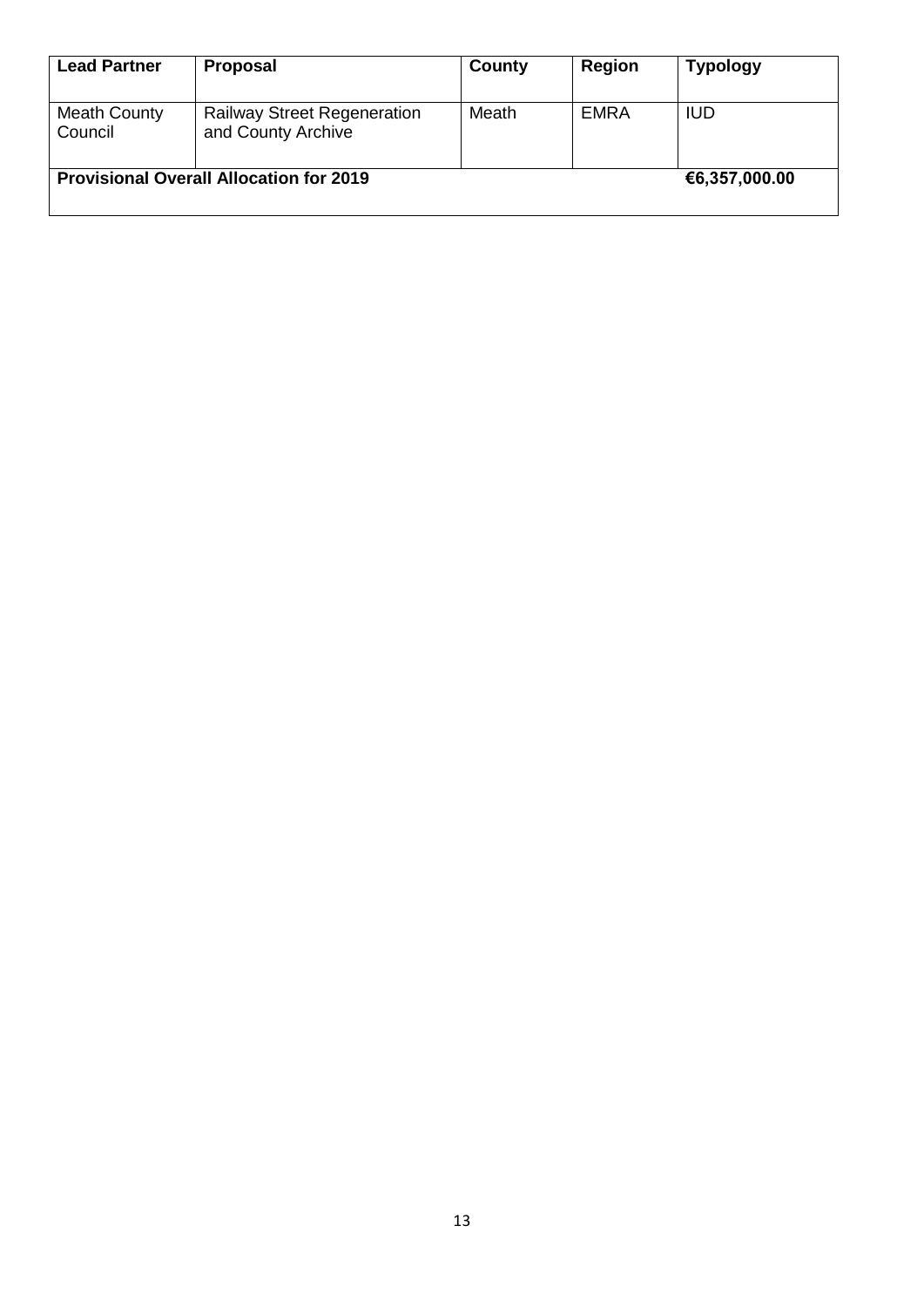| <b>Lead Partner</b>                            | <b>Proposal</b>                                          | County | <b>Region</b> | <b>Typology</b> |
|------------------------------------------------|----------------------------------------------------------|--------|---------------|-----------------|
| Meath County<br>Council                        | <b>Railway Street Regeneration</b><br>and County Archive | Meath  | EMRA          | <b>IUD</b>      |
| <b>Provisional Overall Allocation for 2019</b> | €6,357,000.00                                            |        |               |                 |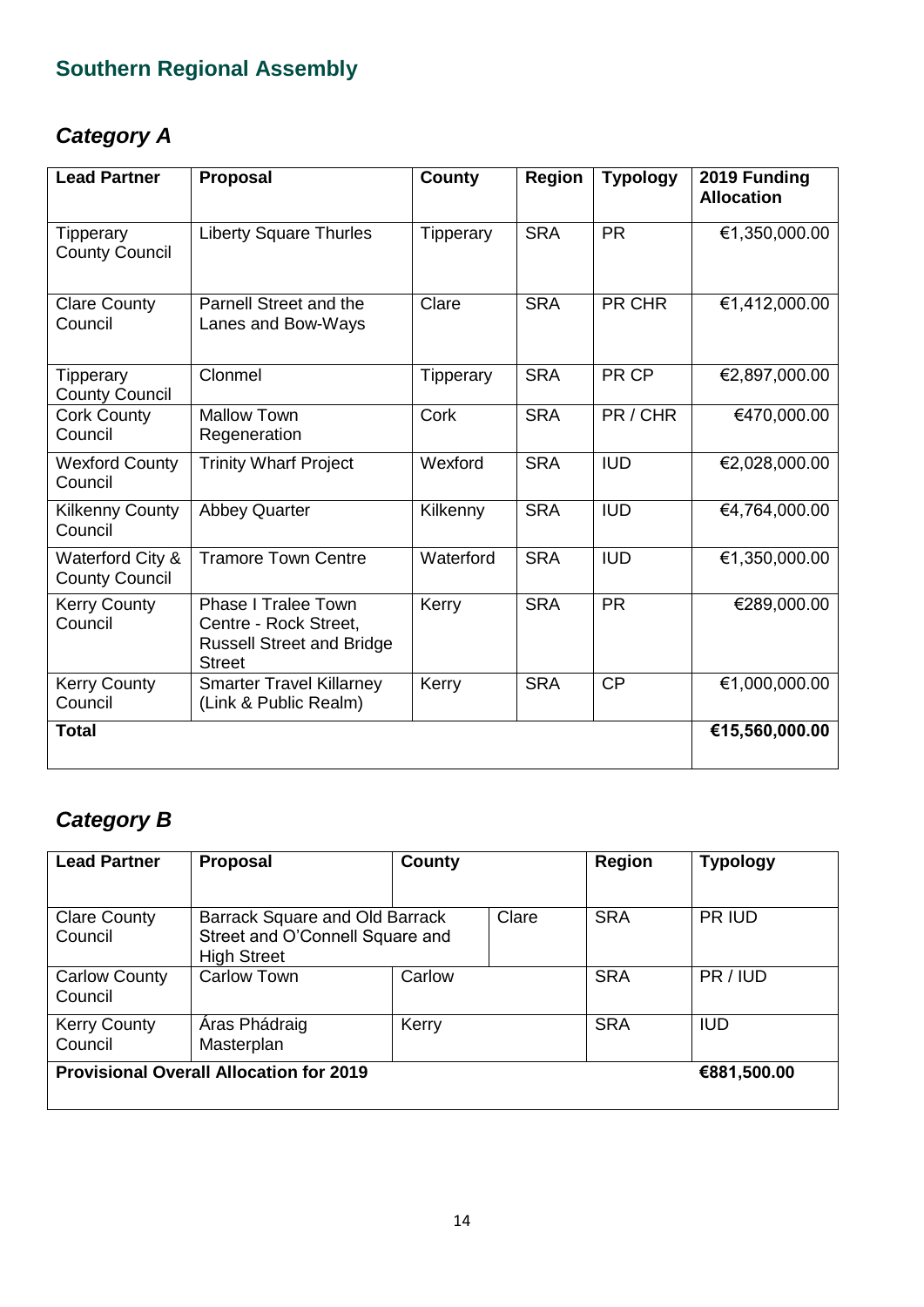# <span id="page-13-0"></span>**Southern Regional Assembly**

# *Category A*

| <b>Lead Partner</b>                       | <b>Proposal</b>                                                                                          | <b>County</b> | <b>Region</b> | <b>Typology</b> | 2019 Funding<br><b>Allocation</b> |
|-------------------------------------------|----------------------------------------------------------------------------------------------------------|---------------|---------------|-----------------|-----------------------------------|
| Tipperary<br><b>County Council</b>        | <b>Liberty Square Thurles</b>                                                                            | Tipperary     | <b>SRA</b>    | <b>PR</b>       | €1,350,000.00                     |
| <b>Clare County</b><br>Council            | Parnell Street and the<br>Lanes and Bow-Ways                                                             | Clare         | <b>SRA</b>    | PR CHR          | €1,412,000.00                     |
| Tipperary<br><b>County Council</b>        | Clonmel                                                                                                  | Tipperary     | <b>SRA</b>    | PR CP           | €2,897,000.00                     |
| <b>Cork County</b><br>Council             | <b>Mallow Town</b><br>Regeneration                                                                       | Cork          | <b>SRA</b>    | PR/CHR          | €470,000.00                       |
| <b>Wexford County</b><br>Council          | <b>Trinity Wharf Project</b>                                                                             | Wexford       | <b>SRA</b>    | <b>IUD</b>      | €2,028,000.00                     |
| Kilkenny County<br>Council                | <b>Abbey Quarter</b>                                                                                     | Kilkenny      | <b>SRA</b>    | <b>IUD</b>      | €4,764,000.00                     |
| Waterford City &<br><b>County Council</b> | <b>Tramore Town Centre</b>                                                                               | Waterford     | <b>SRA</b>    | <b>IUD</b>      | €1,350,000.00                     |
| <b>Kerry County</b><br>Council            | <b>Phase I Tralee Town</b><br>Centre - Rock Street,<br><b>Russell Street and Bridge</b><br><b>Street</b> | Kerry         | <b>SRA</b>    | <b>PR</b>       | €289,000.00                       |
| <b>Kerry County</b><br>Council            | <b>Smarter Travel Killarney</b><br>(Link & Public Realm)                                                 | Kerry         | <b>SRA</b>    | CP              | €1,000,000.00                     |
| <b>Total</b>                              |                                                                                                          |               |               |                 | €15,560,000.00                    |

| <b>Lead Partner</b>             | <b>Proposal</b>                                                                         | County |       | <b>Region</b> | <b>Typology</b> |
|---------------------------------|-----------------------------------------------------------------------------------------|--------|-------|---------------|-----------------|
| <b>Clare County</b><br>Council  | Barrack Square and Old Barrack<br>Street and O'Connell Square and<br><b>High Street</b> |        | Clare | <b>SRA</b>    | PR IUD          |
| <b>Carlow County</b><br>Council | <b>Carlow Town</b>                                                                      | Carlow |       | <b>SRA</b>    | PR / IUD        |
| <b>Kerry County</b><br>Council  | Áras Phádraig<br>Masterplan                                                             | Kerry  |       | <b>SRA</b>    | <b>IUD</b>      |
|                                 | <b>Provisional Overall Allocation for 2019</b>                                          |        |       |               | €881,500.00     |